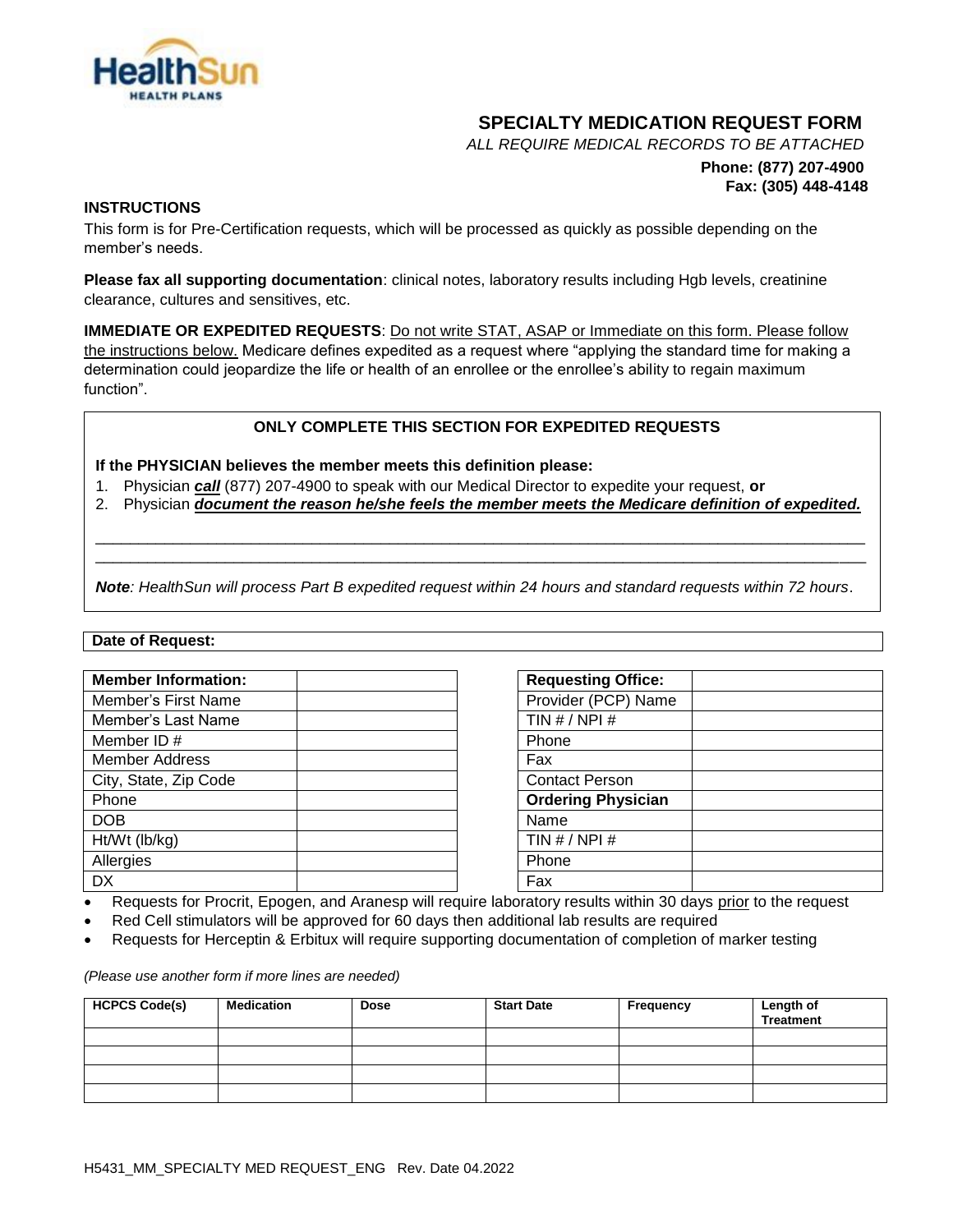

# **SPECIALTY MEDICATION REQUEST FORM**

*ALL REQUIRE MEDICAL RECORDS TO BE ATTACHED*

# **Phone: (877) 207-4900 Fax: (305) 448-4148**

## **INSTRUCTIONS**

This form is for Pre-Certification requests, which will be processed as quickly as possible depending on the member's needs.

**Please fax all supporting documentation**: clinical notes, laboratory results including Hgb levels, creatinine clearance, cultures and sensitives, etc.

**IMMEDIATE OR EXPEDITED REQUESTS**: Do not write STAT, ASAP or Immediate on this form. Please follow the instructions below. Medicare defines expedited as a request where "applying the standard time for making a determination could jeopardize the life or health of an enrollee or the enrollee's ability to regain maximum function".

## **ONLY COMPLETE THIS SECTION FOR EXPEDITED REQUESTS**

**If the PHYSICIAN believes the member meets this definition please:**

- 1. Physician *call* (877) 207-4900 to speak with our Medical Director to expedite your request, **or**
- 2. Physician *document the reason he/she feels the member meets the Medicare definition of expedited.*

\_\_\_\_\_\_\_\_\_\_\_\_\_\_\_\_\_\_\_\_\_\_\_\_\_\_\_\_\_\_\_\_\_\_\_\_\_\_\_\_\_\_\_\_\_\_\_\_\_\_\_\_\_\_\_\_\_\_\_\_\_\_\_\_\_\_\_\_\_\_\_\_\_\_\_\_\_\_\_\_\_\_\_\_\_\_\_\_\_ \_\_\_\_\_\_\_\_\_\_\_\_\_\_\_\_\_\_\_\_\_\_\_\_\_\_\_\_\_\_\_\_\_\_\_\_\_\_\_\_\_\_\_\_\_\_\_\_\_\_\_\_\_\_\_\_\_\_\_\_\_\_\_\_\_\_\_\_\_\_\_\_\_\_\_\_\_\_\_\_\_\_\_\_\_\_\_\_\_

*Note: HealthSun will process Part B expedited request within 24 hours and standard requests within 72 hours*.

#### **Date of Request:**

| <b>Member Information:</b> | <b>Requesting Office:</b> |
|----------------------------|---------------------------|
| Member's First Name        | Provider (PCP) Name       |
| Member's Last Name         | TIN $# / NPI#$            |
| Member ID#                 | Phone                     |
| <b>Member Address</b>      | Fax                       |
| City, State, Zip Code      | <b>Contact Person</b>     |
| Phone                      | <b>Ordering Physician</b> |
| <b>DOB</b>                 | Name                      |
| Ht/Wt (lb/kg)              | TIN $# / NPI#$            |
| Allergies                  | Phone                     |
| DX                         | Fax                       |

| <b>Requesting Office:</b> |  |
|---------------------------|--|
| Provider (PCP) Name       |  |
| TIN $# / NPI#$            |  |
| Phone                     |  |
| Fax                       |  |
| <b>Contact Person</b>     |  |
| <b>Ordering Physician</b> |  |
| Name                      |  |
| TIN $# /$ NPI $#$         |  |
| Phone                     |  |
| Fax                       |  |

Requests for Procrit, Epogen, and Aranesp will require laboratory results within 30 days prior to the request

- Red Cell stimulators will be approved for 60 days then additional lab results are required
- Requests for Herceptin & Erbitux will require supporting documentation of completion of marker testing

#### *(Please use another form if more lines are needed)*

| <b>HCPCS Code(s)</b> | <b>Medication</b> | <b>Dose</b> | <b>Start Date</b> | Frequency | <b>Length of<br/>Treatment</b> |
|----------------------|-------------------|-------------|-------------------|-----------|--------------------------------|
|                      |                   |             |                   |           |                                |
|                      |                   |             |                   |           |                                |
|                      |                   |             |                   |           |                                |
|                      |                   |             |                   |           |                                |